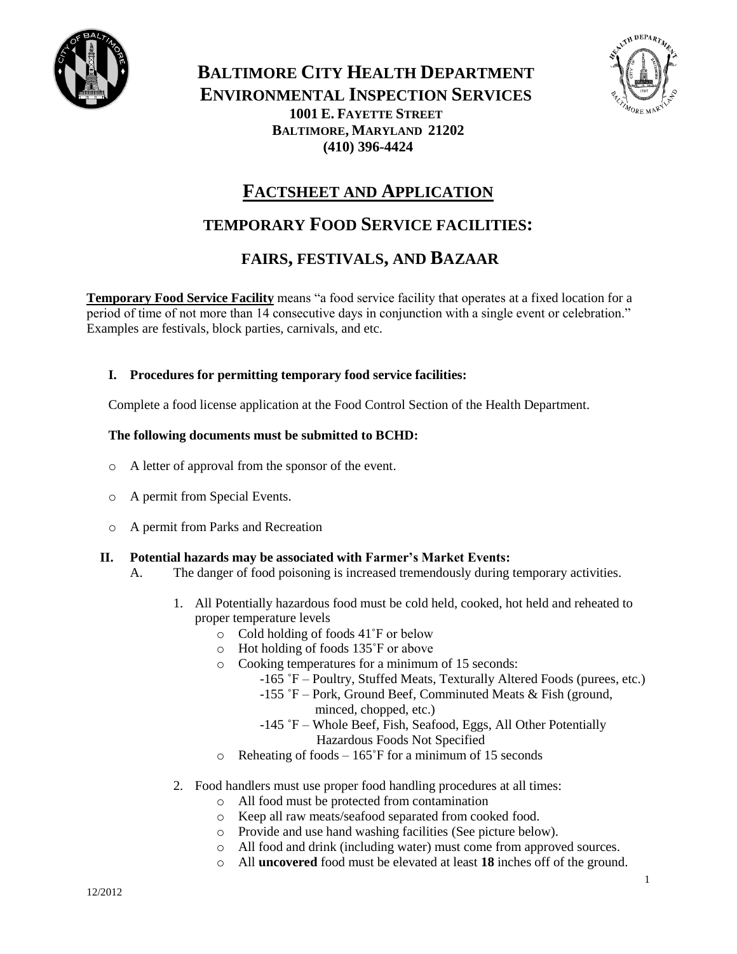

**BALTIMORE CITY HEALTH DEPARTMENT ENVIRONMENTAL INSPECTION SERVICES 1001 E. FAYETTE STREET BALTIMORE, MARYLAND 21202 (410) 396-4424**



# **FACTSHEET AND APPLICATION**

# **TEMPORARY FOOD SERVICE FACILITIES:**

# **FAIRS, FESTIVALS, AND BAZAAR**

**Temporary Food Service Facility** means "a food service facility that operates at a fixed location for a period of time of not more than 14 consecutive days in conjunction with a single event or celebration." Examples are festivals, block parties, carnivals, and etc.

## **I. Procedures for permitting temporary food service facilities:**

Complete a food license application at the Food Control Section of the Health Department.

## **The following documents must be submitted to BCHD:**

- o A letter of approval from the sponsor of the event.
- o A permit from Special Events.
- o A permit from Parks and Recreation

### **II. Potential hazards may be associated with Farmer's Market Events:**

- A. The danger of food poisoning is increased tremendously during temporary activities.
	- 1. All Potentially hazardous food must be cold held, cooked, hot held and reheated to proper temperature levels
		- o Cold holding of foods 41˚F or below
		- o Hot holding of foods 135˚F or above
		- o Cooking temperatures for a minimum of 15 seconds:
			- -165 ˚F Poultry, Stuffed Meats, Texturally Altered Foods (purees, etc.)
			- -155 ˚F Pork, Ground Beef, Comminuted Meats & Fish (ground, minced, chopped, etc.)
			- -145 ˚F Whole Beef, Fish, Seafood, Eggs, All Other Potentially Hazardous Foods Not Specified
		- o Reheating of foods 165˚F for a minimum of 15 seconds
	- 2. Food handlers must use proper food handling procedures at all times:
		- o All food must be protected from contamination
		- o Keep all raw meats/seafood separated from cooked food.
		- o Provide and use hand washing facilities (See picture below).
		- o All food and drink (including water) must come from approved sources.
		- o All **uncovered** food must be elevated at least **18** inches off of the ground.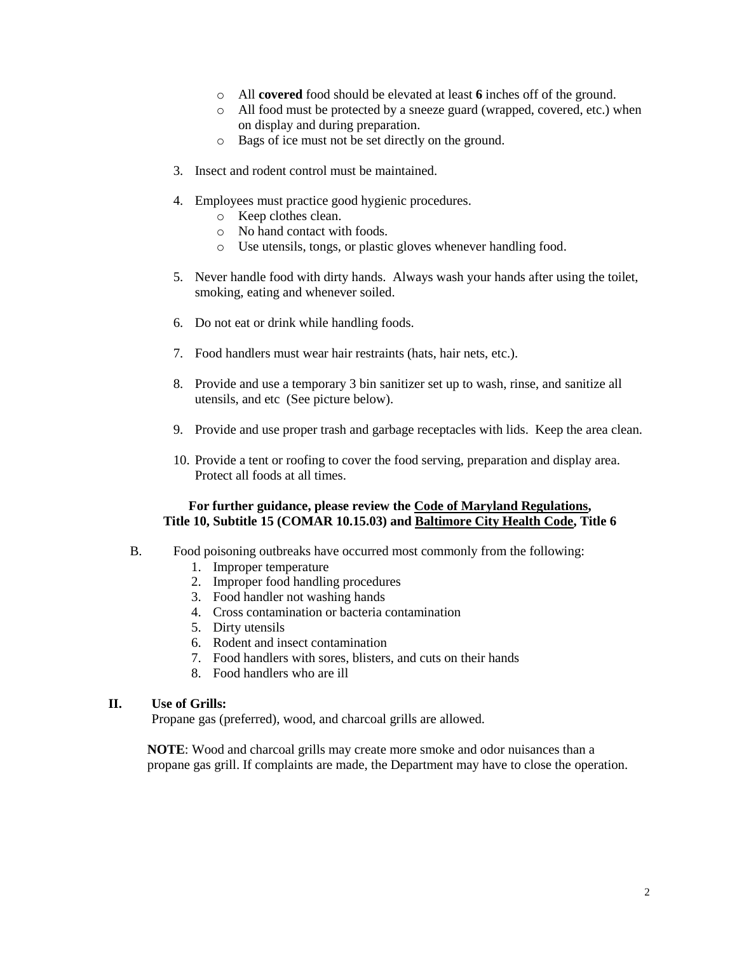- o All **covered** food should be elevated at least **6** inches off of the ground.
- o All food must be protected by a sneeze guard (wrapped, covered, etc.) when on display and during preparation.
- o Bags of ice must not be set directly on the ground.
- 3. Insect and rodent control must be maintained.
- 4. Employees must practice good hygienic procedures.
	- o Keep clothes clean.
	- o No hand contact with foods.
	- o Use utensils, tongs, or plastic gloves whenever handling food.
- 5. Never handle food with dirty hands. Always wash your hands after using the toilet, smoking, eating and whenever soiled.
- 6. Do not eat or drink while handling foods.
- 7. Food handlers must wear hair restraints (hats, hair nets, etc.).
- 8. Provide and use a temporary 3 bin sanitizer set up to wash, rinse, and sanitize all utensils, and etc (See picture below).
- 9. Provide and use proper trash and garbage receptacles with lids. Keep the area clean.
- 10. Provide a tent or roofing to cover the food serving, preparation and display area. Protect all foods at all times.

### **For further guidance, please review the Code of Maryland Regulations, Title 10, Subtitle 15 (COMAR 10.15.03) and Baltimore City Health Code, Title 6**

- B. Food poisoning outbreaks have occurred most commonly from the following:
	- 1. Improper temperature
	- 2. Improper food handling procedures
	- 3. Food handler not washing hands
	- 4. Cross contamination or bacteria contamination
	- 5. Dirty utensils
	- 6. Rodent and insect contamination
	- 7. Food handlers with sores, blisters, and cuts on their hands
	- 8. Food handlers who are ill

#### **II. Use of Grills:**

Propane gas (preferred), wood, and charcoal grills are allowed.

**NOTE**: Wood and charcoal grills may create more smoke and odor nuisances than a propane gas grill. If complaints are made, the Department may have to close the operation.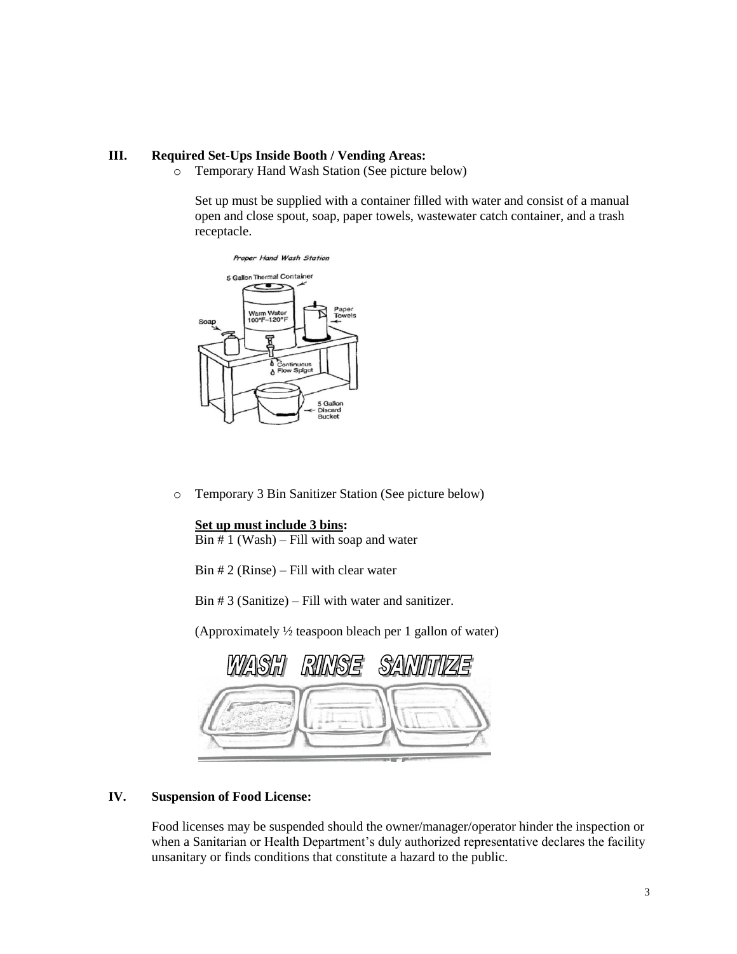## **III. Required Set-Ups Inside Booth / Vending Areas:**

o Temporary Hand Wash Station (See picture below)

Set up must be supplied with a container filled with water and consist of a manual open and close spout, soap, paper towels, wastewater catch container, and a trash receptacle.



o Temporary 3 Bin Sanitizer Station (See picture below)

## **Set up must include 3 bins:**

 $\overline{Bin \# 1 (Wash)} -$  Fill with soap and water

 $Bin # 2 (Rinse) - Fill with clear water$ 

Bin # 3 (Sanitize) – Fill with water and sanitizer.

(Approximately ½ teaspoon bleach per 1 gallon of water)

|  | WASHI RINSE SANIFIZE |
|--|----------------------|
|  |                      |
|  |                      |

## **IV. Suspension of Food License:**

Food licenses may be suspended should the owner/manager/operator hinder the inspection or when a Sanitarian or Health Department's duly authorized representative declares the facility unsanitary or finds conditions that constitute a hazard to the public.